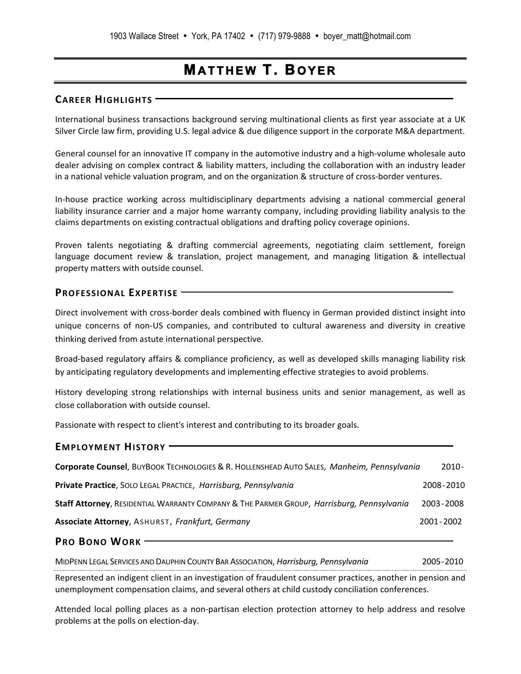# **MATTHEW T. BOYER**

### **CAREER HIGHLIGHTS**

International business transactions background serving multinational clients as first year associate at a UK Silver Circle law firm, providing U.S. legal advice & due diligence support in the corporate M&A department.

General counsel for an innovative IT company in the automotive industry and a high‐volume wholesale auto dealer advising on complex contract & liability matters, including the collaboration with an industry leader in a national vehicle valuation program, and on the organization & structure of cross‐border ventures.

In‐house practice working across multidisciplinary departments advising a national commercial general liability insurance carrier and a major home warranty company, including providing liability analysis to the claims departments on existing contractual obligations and drafting policy coverage opinions.

Proven talents negotiating & drafting commercial agreements, negotiating claim settlement, foreign language document review & translation, project management, and managing litigation & intellectual property matters with outside counsel.

### **PROFESSIONAL EXPERTISE**

Direct involvement with cross‐border deals combined with fluency in German provided distinct insight into unique concerns of non‐US companies, and contributed to cultural awareness and diversity in creative thinking derived from astute international perspective.

Broad‐based regulatory affairs & compliance proficiency, as well as developed skills managing liability risk by anticipating regulatory developments and implementing effective strategies to avoid problems.

History developing strong relationships with internal business units and senior management, as well as close collaboration with outside counsel.

Passionate with respect to client's interest and contributing to its broader goals.

#### **EMPLOYMENT HISTORY**

| Corporate Counsel, BUYBOOK TECHNOLOGIES & R. HOLLENSHEAD AUTO SALES, Manheim, Pennsylvania | 2010-       |
|--------------------------------------------------------------------------------------------|-------------|
| Private Practice, SOLO LEGAL PRACTICE, Harrisburg, Pennsylvania                            | 2008-2010   |
| Staff Attorney, RESIDENTIAL WARRANTY COMPANY & THE PARMER GROUP, Harrisburg, Pennsylvania  | 2003-2008   |
| <b>Associate Attorney, ASHURST, Frankfurt, Germany</b>                                     | 2001 - 2002 |

**PRO BONO WORK** 

MIDPENN LEGAL SERVICES AND DAUPHIN COUNTY BAR ASSOCIATION, *Harrisburg, Pennsylvania* 2005‐2010 Represented an indigent client in an investigation of fraudulent consumer practices, another in pension and unemployment compensation claims, and several others at child custody conciliation conferences.

Attended local polling places as a non-partisan election protection attorney to help address and resolve problems at the polls on election‐day.